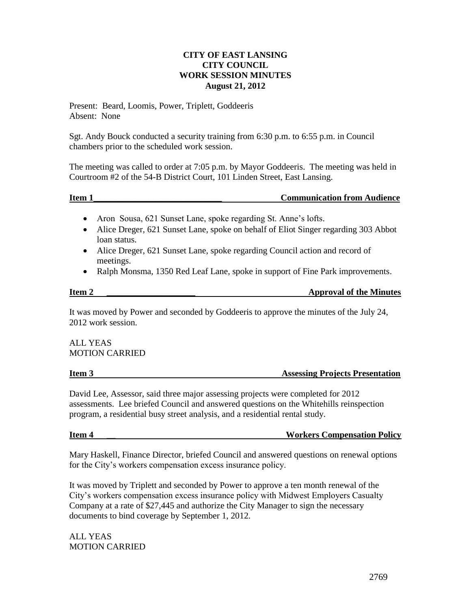## **CITY OF EAST LANSING CITY COUNCIL WORK SESSION MINUTES August 21, 2012**

Present: Beard, Loomis, Power, Triplett, Goddeeris Absent: None

Sgt. Andy Bouck conducted a security training from 6:30 p.m. to 6:55 p.m. in Council chambers prior to the scheduled work session.

The meeting was called to order at 7:05 p.m. by Mayor Goddeeris. The meeting was held in Courtroom #2 of the 54-B District Court, 101 Linden Street, East Lansing.

|--|

- Aron Sousa, 621 Sunset Lane, spoke regarding St. Anne's lofts.
- Alice Dreger, 621 Sunset Lane, spoke on behalf of Eliot Singer regarding 303 Abbot loan status.
- Alice Dreger, 621 Sunset Lane, spoke regarding Council action and record of meetings.
- Ralph Monsma, 1350 Red Leaf Lane, spoke in support of Fine Park improvements.

**Item 2 \_\_\_\_\_\_\_\_\_\_\_\_\_\_\_\_\_\_\_\_ Approval of the Minutes**

It was moved by Power and seconded by Goddeeris to approve the minutes of the July 24, 2012 work session.

ALL YEAS MOTION CARRIED

## **Item 3** Assessing Projects Presentation

David Lee, Assessor, said three major assessing projects were completed for 2012 assessments. Lee briefed Council and answered questions on the Whitehills reinspection program, a residential busy street analysis, and a residential rental study.

## **Item 4 \_\_ Workers Compensation Policy**

Mary Haskell, Finance Director, briefed Council and answered questions on renewal options for the City's workers compensation excess insurance policy.

It was moved by Triplett and seconded by Power to approve a ten month renewal of the City's workers compensation excess insurance policy with Midwest Employers Casualty Company at a rate of \$27,445 and authorize the City Manager to sign the necessary documents to bind coverage by September 1, 2012.

ALL YEAS MOTION CARRIED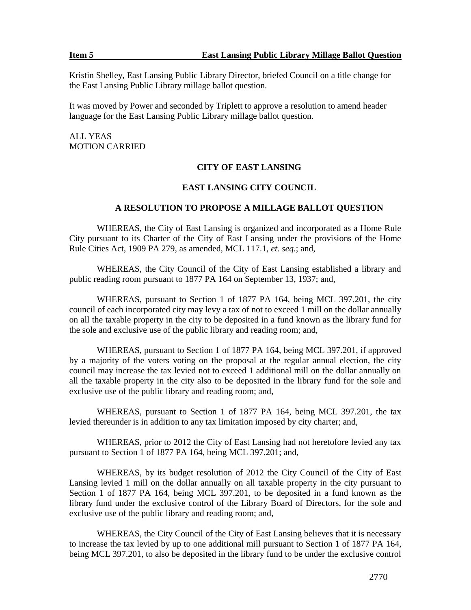Kristin Shelley, East Lansing Public Library Director, briefed Council on a title change for the East Lansing Public Library millage ballot question.

It was moved by Power and seconded by Triplett to approve a resolution to amend header language for the East Lansing Public Library millage ballot question.

ALL YEAS MOTION CARRIED

### **CITY OF EAST LANSING**

### **EAST LANSING CITY COUNCIL**

### **A RESOLUTION TO PROPOSE A MILLAGE BALLOT QUESTION**

WHEREAS, the City of East Lansing is organized and incorporated as a Home Rule City pursuant to its Charter of the City of East Lansing under the provisions of the Home Rule Cities Act, 1909 PA 279, as amended, MCL 117.1, *et. seq.*; and,

WHEREAS, the City Council of the City of East Lansing established a library and public reading room pursuant to 1877 PA 164 on September 13, 1937; and,

WHEREAS, pursuant to Section 1 of 1877 PA 164, being MCL 397.201, the city council of each incorporated city may levy a tax of not to exceed 1 mill on the dollar annually on all the taxable property in the city to be deposited in a fund known as the library fund for the sole and exclusive use of the public library and reading room; and,

WHEREAS, pursuant to Section 1 of 1877 PA 164, being MCL 397.201, if approved by a majority of the voters voting on the proposal at the regular annual election, the city council may increase the tax levied not to exceed 1 additional mill on the dollar annually on all the taxable property in the city also to be deposited in the library fund for the sole and exclusive use of the public library and reading room; and,

WHEREAS, pursuant to Section 1 of 1877 PA 164, being MCL 397.201, the tax levied thereunder is in addition to any tax limitation imposed by city charter; and,

WHEREAS, prior to 2012 the City of East Lansing had not heretofore levied any tax pursuant to Section 1 of 1877 PA 164, being MCL 397.201; and,

WHEREAS, by its budget resolution of 2012 the City Council of the City of East Lansing levied 1 mill on the dollar annually on all taxable property in the city pursuant to Section 1 of 1877 PA 164, being MCL 397.201, to be deposited in a fund known as the library fund under the exclusive control of the Library Board of Directors, for the sole and exclusive use of the public library and reading room; and,

WHEREAS, the City Council of the City of East Lansing believes that it is necessary to increase the tax levied by up to one additional mill pursuant to Section 1 of 1877 PA 164, being MCL 397.201, to also be deposited in the library fund to be under the exclusive control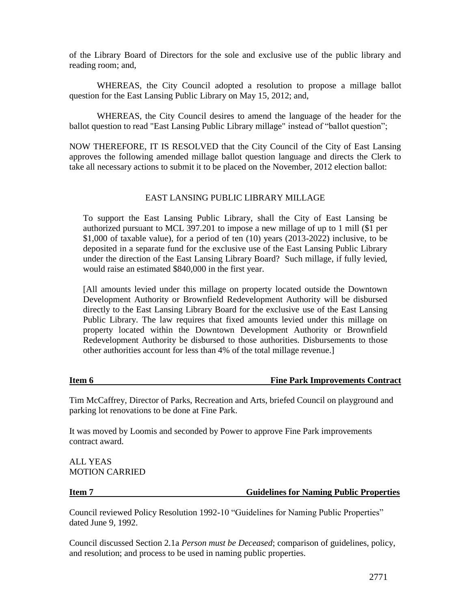of the Library Board of Directors for the sole and exclusive use of the public library and reading room; and,

WHEREAS, the City Council adopted a resolution to propose a millage ballot question for the East Lansing Public Library on May 15, 2012; and,

WHEREAS, the City Council desires to amend the language of the header for the ballot question to read "East Lansing Public Library millage" instead of "ballot question";

NOW THEREFORE, IT IS RESOLVED that the City Council of the City of East Lansing approves the following amended millage ballot question language and directs the Clerk to take all necessary actions to submit it to be placed on the November, 2012 election ballot:

## EAST LANSING PUBLIC LIBRARY MILLAGE

To support the East Lansing Public Library, shall the City of East Lansing be authorized pursuant to MCL 397.201 to impose a new millage of up to 1 mill (\$1 per \$1,000 of taxable value), for a period of ten (10) years (2013-2022) inclusive, to be deposited in a separate fund for the exclusive use of the East Lansing Public Library under the direction of the East Lansing Library Board? Such millage, if fully levied, would raise an estimated \$840,000 in the first year.

[All amounts levied under this millage on property located outside the Downtown Development Authority or Brownfield Redevelopment Authority will be disbursed directly to the East Lansing Library Board for the exclusive use of the East Lansing Public Library. The law requires that fixed amounts levied under this millage on property located within the Downtown Development Authority or Brownfield Redevelopment Authority be disbursed to those authorities. Disbursements to those other authorities account for less than 4% of the total millage revenue.]

## **Item 6 Fine Park Improvements Contract**

Tim McCaffrey, Director of Parks, Recreation and Arts, briefed Council on playground and parking lot renovations to be done at Fine Park.

It was moved by Loomis and seconded by Power to approve Fine Park improvements contract award.

ALL YEAS MOTION CARRIED

### **Item 7 Guidelines for Naming Public Properties**

Council reviewed Policy Resolution 1992-10 "Guidelines for Naming Public Properties" dated June 9, 1992.

Council discussed Section 2.1a *Person must be Deceased*; comparison of guidelines, policy, and resolution; and process to be used in naming public properties.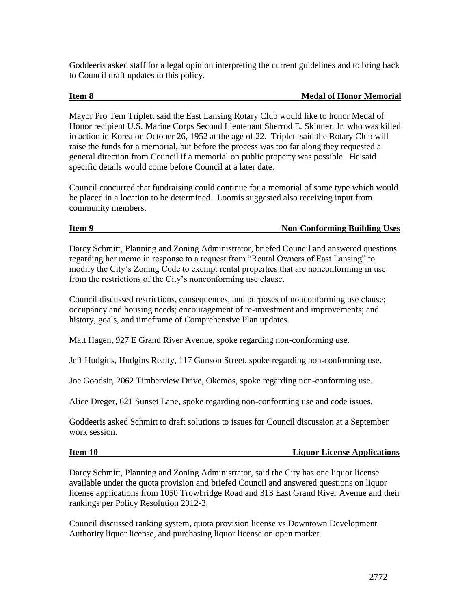Goddeeris asked staff for a legal opinion interpreting the current guidelines and to bring back to Council draft updates to this policy.

## **Item 8** Medal of Honor Memorial

Mayor Pro Tem Triplett said the East Lansing Rotary Club would like to honor Medal of Honor recipient U.S. Marine Corps Second Lieutenant Sherrod E. Skinner, Jr. who was killed in action in Korea on October 26, 1952 at the age of 22. Triplett said the Rotary Club will raise the funds for a memorial, but before the process was too far along they requested a general direction from Council if a memorial on public property was possible. He said specific details would come before Council at a later date.

Council concurred that fundraising could continue for a memorial of some type which would be placed in a location to be determined. Loomis suggested also receiving input from community members.

## **Item 9** Non-Conforming Building Uses

Darcy Schmitt, Planning and Zoning Administrator, briefed Council and answered questions regarding her memo in response to a request from "Rental Owners of East Lansing" to modify the City's Zoning Code to exempt rental properties that are nonconforming in use from the restrictions of the City's nonconforming use clause.

Council discussed restrictions, consequences, and purposes of nonconforming use clause; occupancy and housing needs; encouragement of re-investment and improvements; and history, goals, and timeframe of Comprehensive Plan updates.

Matt Hagen, 927 E Grand River Avenue, spoke regarding non-conforming use.

Jeff Hudgins, Hudgins Realty, 117 Gunson Street, spoke regarding non-conforming use.

Joe Goodsir, 2062 Timberview Drive, Okemos, spoke regarding non-conforming use.

Alice Dreger, 621 Sunset Lane, spoke regarding non-conforming use and code issues.

Goddeeris asked Schmitt to draft solutions to issues for Council discussion at a September work session.

## **Item 10 Liquor License Applications**

Darcy Schmitt, Planning and Zoning Administrator, said the City has one liquor license available under the quota provision and briefed Council and answered questions on liquor license applications from 1050 Trowbridge Road and 313 East Grand River Avenue and their rankings per Policy Resolution 2012-3.

Council discussed ranking system, quota provision license vs Downtown Development Authority liquor license, and purchasing liquor license on open market.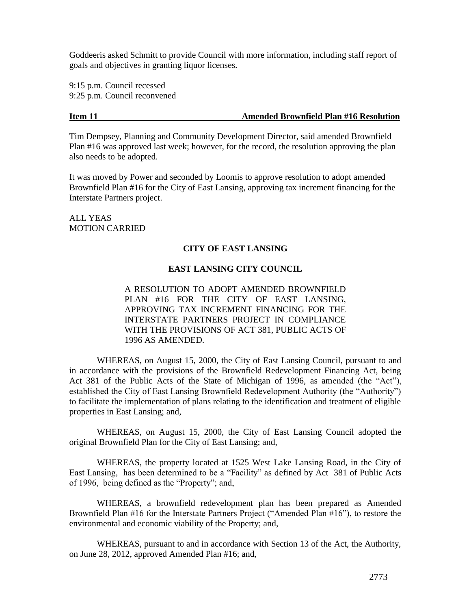Goddeeris asked Schmitt to provide Council with more information, including staff report of goals and objectives in granting liquor licenses.

9:15 p.m. Council recessed 9:25 p.m. Council reconvened

## **Item 11 Amended Brownfield Plan #16 Resolution**

Tim Dempsey, Planning and Community Development Director, said amended Brownfield Plan #16 was approved last week; however, for the record, the resolution approving the plan also needs to be adopted.

It was moved by Power and seconded by Loomis to approve resolution to adopt amended Brownfield Plan #16 for the City of East Lansing, approving tax increment financing for the Interstate Partners project.

ALL YEAS MOTION CARRIED

## **CITY OF EAST LANSING**

## **EAST LANSING CITY COUNCIL**

A RESOLUTION TO ADOPT AMENDED BROWNFIELD PLAN #16 FOR THE CITY OF EAST LANSING, APPROVING TAX INCREMENT FINANCING FOR THE INTERSTATE PARTNERS PROJECT IN COMPLIANCE WITH THE PROVISIONS OF ACT 381, PUBLIC ACTS OF 1996 AS AMENDED.

WHEREAS, on August 15, 2000, the City of East Lansing Council, pursuant to and in accordance with the provisions of the Brownfield Redevelopment Financing Act, being Act 381 of the Public Acts of the State of Michigan of 1996, as amended (the "Act"), established the City of East Lansing Brownfield Redevelopment Authority (the "Authority") to facilitate the implementation of plans relating to the identification and treatment of eligible properties in East Lansing; and,

WHEREAS, on August 15, 2000, the City of East Lansing Council adopted the original Brownfield Plan for the City of East Lansing; and,

WHEREAS, the property located at 1525 West Lake Lansing Road, in the City of East Lansing, has been determined to be a "Facility" as defined by Act 381 of Public Acts of 1996, being defined as the "Property"; and,

WHEREAS, a brownfield redevelopment plan has been prepared as Amended Brownfield Plan #16 for the Interstate Partners Project ("Amended Plan #16"), to restore the environmental and economic viability of the Property; and,

WHEREAS, pursuant to and in accordance with Section 13 of the Act, the Authority, on June 28, 2012, approved Amended Plan #16; and,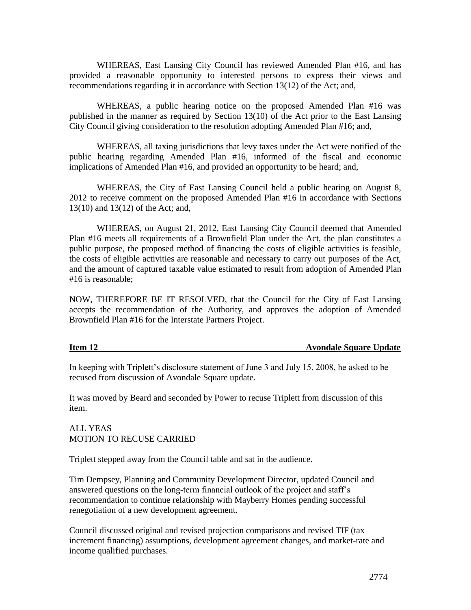WHEREAS, East Lansing City Council has reviewed Amended Plan #16, and has provided a reasonable opportunity to interested persons to express their views and recommendations regarding it in accordance with Section 13(12) of the Act; and,

WHEREAS, a public hearing notice on the proposed Amended Plan #16 was published in the manner as required by Section 13(10) of the Act prior to the East Lansing City Council giving consideration to the resolution adopting Amended Plan #16; and,

WHEREAS, all taxing jurisdictions that levy taxes under the Act were notified of the public hearing regarding Amended Plan #16, informed of the fiscal and economic implications of Amended Plan #16, and provided an opportunity to be heard; and,

WHEREAS, the City of East Lansing Council held a public hearing on August 8, 2012 to receive comment on the proposed Amended Plan #16 in accordance with Sections 13(10) and 13(12) of the Act; and,

WHEREAS, on August 21, 2012, East Lansing City Council deemed that Amended Plan #16 meets all requirements of a Brownfield Plan under the Act, the plan constitutes a public purpose, the proposed method of financing the costs of eligible activities is feasible, the costs of eligible activities are reasonable and necessary to carry out purposes of the Act, and the amount of captured taxable value estimated to result from adoption of Amended Plan #16 is reasonable;

NOW, THEREFORE BE IT RESOLVED, that the Council for the City of East Lansing accepts the recommendation of the Authority, and approves the adoption of Amended Brownfield Plan #16 for the Interstate Partners Project.

### **Item 12** Avondale Square Update

In keeping with Triplett's disclosure statement of June 3 and July 15, 2008, he asked to be recused from discussion of Avondale Square update.

It was moved by Beard and seconded by Power to recuse Triplett from discussion of this item.

ALL YEAS MOTION TO RECUSE CARRIED

Triplett stepped away from the Council table and sat in the audience.

Tim Dempsey, Planning and Community Development Director, updated Council and answered questions on the long-term financial outlook of the project and staff's recommendation to continue relationship with Mayberry Homes pending successful renegotiation of a new development agreement.

Council discussed original and revised projection comparisons and revised TIF (tax increment financing) assumptions, development agreement changes, and market-rate and income qualified purchases.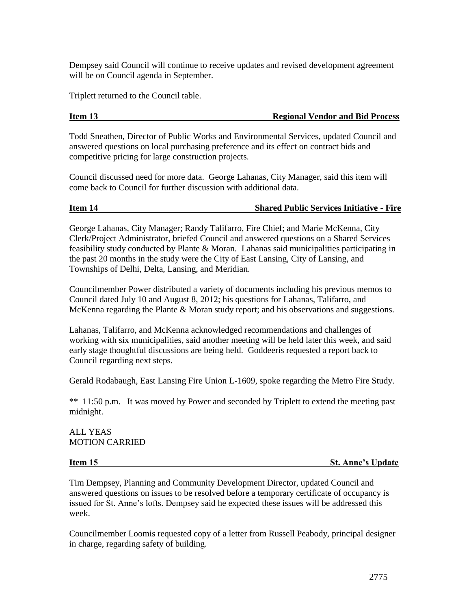Dempsey said Council will continue to receive updates and revised development agreement will be on Council agenda in September.

Triplett returned to the Council table.

## **Item 13 Regional Vendor and Bid Process**

Todd Sneathen, Director of Public Works and Environmental Services, updated Council and answered questions on local purchasing preference and its effect on contract bids and competitive pricing for large construction projects.

Council discussed need for more data. George Lahanas, City Manager, said this item will come back to Council for further discussion with additional data.

## **Item 14 Shared Public Services Initiative - Fire**

George Lahanas, City Manager; Randy Talifarro, Fire Chief; and Marie McKenna, City Clerk/Project Administrator, briefed Council and answered questions on a Shared Services feasibility study conducted by Plante & Moran. Lahanas said municipalities participating in the past 20 months in the study were the City of East Lansing, City of Lansing, and Townships of Delhi, Delta, Lansing, and Meridian.

Councilmember Power distributed a variety of documents including his previous memos to Council dated July 10 and August 8, 2012; his questions for Lahanas, Talifarro, and McKenna regarding the Plante & Moran study report; and his observations and suggestions.

Lahanas, Talifarro, and McKenna acknowledged recommendations and challenges of working with six municipalities, said another meeting will be held later this week, and said early stage thoughtful discussions are being held. Goddeeris requested a report back to Council regarding next steps.

Gerald Rodabaugh, East Lansing Fire Union L-1609, spoke regarding the Metro Fire Study.

\*\* 11:50 p.m. It was moved by Power and seconded by Triplett to extend the meeting past midnight.

ALL YEAS MOTION CARRIED

**Item 15** St. Anne's Update

Tim Dempsey, Planning and Community Development Director, updated Council and answered questions on issues to be resolved before a temporary certificate of occupancy is issued for St. Anne's lofts. Dempsey said he expected these issues will be addressed this week.

Councilmember Loomis requested copy of a letter from Russell Peabody, principal designer in charge, regarding safety of building.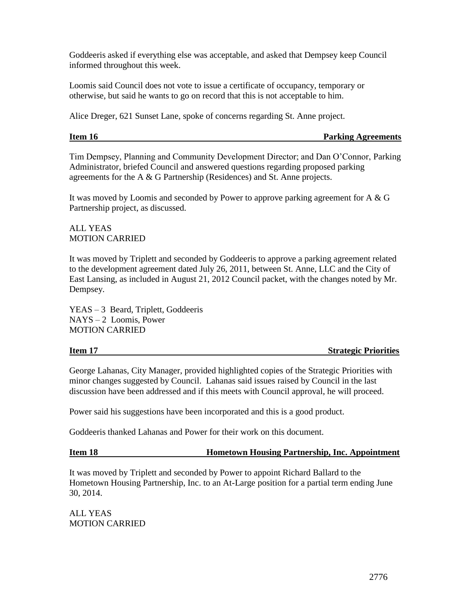Goddeeris asked if everything else was acceptable, and asked that Dempsey keep Council informed throughout this week.

Loomis said Council does not vote to issue a certificate of occupancy, temporary or otherwise, but said he wants to go on record that this is not acceptable to him.

Alice Dreger, 621 Sunset Lane, spoke of concerns regarding St. Anne project.

## **Item 16** Parking Agreements

Tim Dempsey, Planning and Community Development Director; and Dan O'Connor, Parking Administrator, briefed Council and answered questions regarding proposed parking agreements for the A & G Partnership (Residences) and St. Anne projects.

It was moved by Loomis and seconded by Power to approve parking agreement for A & G Partnership project, as discussed.

## ALL YEAS MOTION CARRIED

It was moved by Triplett and seconded by Goddeeris to approve a parking agreement related to the development agreement dated July 26, 2011, between St. Anne, LLC and the City of East Lansing, as included in August 21, 2012 Council packet, with the changes noted by Mr. Dempsey.

YEAS – 3 Beard, Triplett, Goddeeris NAYS – 2 Loomis, Power MOTION CARRIED

### **Item 17** Strategic Priorities

George Lahanas, City Manager, provided highlighted copies of the Strategic Priorities with minor changes suggested by Council. Lahanas said issues raised by Council in the last discussion have been addressed and if this meets with Council approval, he will proceed.

Power said his suggestions have been incorporated and this is a good product.

Goddeeris thanked Lahanas and Power for their work on this document.

## **Item 18 Hometown Housing Partnership, Inc. Appointment**

It was moved by Triplett and seconded by Power to appoint Richard Ballard to the Hometown Housing Partnership, Inc. to an At-Large position for a partial term ending June 30, 2014.

ALL YEAS MOTION CARRIED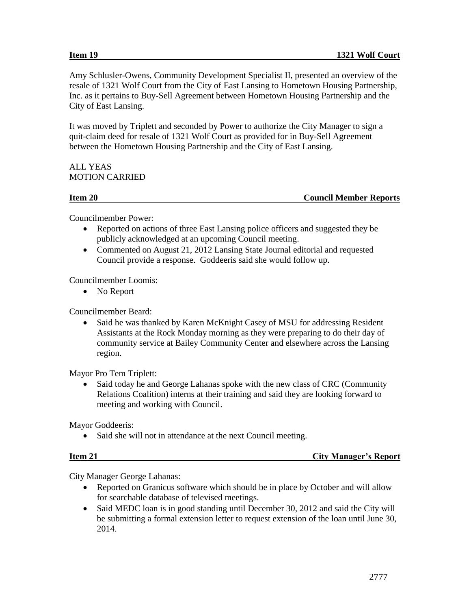Amy Schlusler-Owens, Community Development Specialist II, presented an overview of the resale of 1321 Wolf Court from the City of East Lansing to Hometown Housing Partnership, Inc. as it pertains to Buy-Sell Agreement between Hometown Housing Partnership and the City of East Lansing.

It was moved by Triplett and seconded by Power to authorize the City Manager to sign a quit-claim deed for resale of 1321 Wolf Court as provided for in Buy-Sell Agreement between the Hometown Housing Partnership and the City of East Lansing.

# ALL YEAS MOTION CARRIED

# **Item 20 Council Member Reports**

Councilmember Power:

- Reported on actions of three East Lansing police officers and suggested they be publicly acknowledged at an upcoming Council meeting.
- Commented on August 21, 2012 Lansing State Journal editorial and requested Council provide a response. Goddeeris said she would follow up.

Councilmember Loomis:

• No Report

Councilmember Beard:

• Said he was thanked by Karen McKnight Casey of MSU for addressing Resident Assistants at the Rock Monday morning as they were preparing to do their day of community service at Bailey Community Center and elsewhere across the Lansing region.

Mayor Pro Tem Triplett:

 Said today he and George Lahanas spoke with the new class of CRC (Community Relations Coalition) interns at their training and said they are looking forward to meeting and working with Council.

Mayor Goddeeris:

• Said she will not in attendance at the next Council meeting.

| ltem 21 |  |
|---------|--|
|         |  |

**City Manager's Report** 

City Manager George Lahanas:

- Reported on Granicus software which should be in place by October and will allow for searchable database of televised meetings.
- Said MEDC loan is in good standing until December 30, 2012 and said the City will be submitting a formal extension letter to request extension of the loan until June 30, 2014.